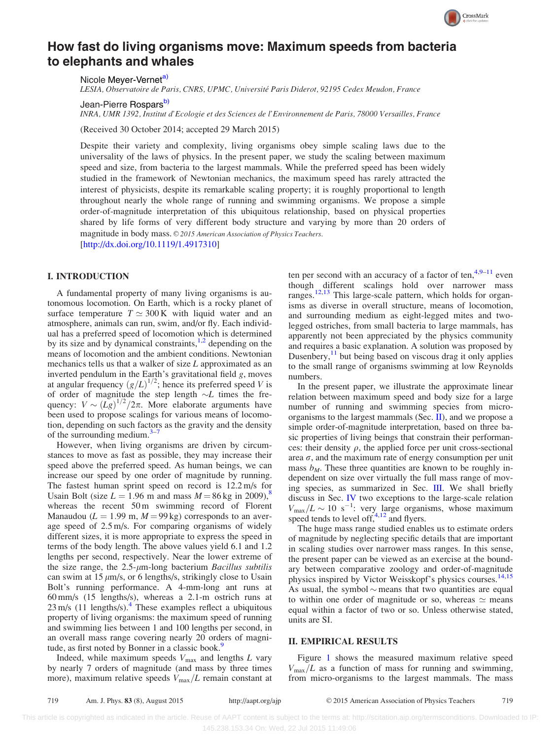

# How fast do living organisms move: Maximum speeds from bacteria to elephants and whales

Nicole Meyer-Vernet<sup>a)</sup>

LESIA, Observatoire de Paris, CNRS, UPMC, Universite Paris Diderot, 92195 Cedex Meudon, France -

Jean-Pierre Rospars<sup>b)</sup>

INRA, UMR 1392, Institut d'Ecologie et des Sciences de l'Environnement de Paris, 78000 Versailles, France

(Received 30 October 2014; accepted 29 March 2015)

Despite their variety and complexity, living organisms obey simple scaling laws due to the universality of the laws of physics. In the present paper, we study the scaling between maximum speed and size, from bacteria to the largest mammals. While the preferred speed has been widely studied in the framework of Newtonian mechanics, the maximum speed has rarely attracted the interest of physicists, despite its remarkable scaling property; it is roughly proportional to length throughout nearly the whole range of running and swimming organisms. We propose a simple order-of-magnitude interpretation of this ubiquitous relationship, based on physical properties shared by life forms of very different body structure and varying by more than 20 orders of magnitude in body mass.  $\odot$  2015 American Association of Physics Teachers.

[\[http://dx.doi.org/10.1119/1.4917310](http://dx.doi.org/10.1119/1.4917310)]

## I. INTRODUCTION

A fundamental property of many living organisms is autonomous locomotion. On Earth, which is a rocky planet of surface temperature  $T \approx 300 \text{ K}$  with liquid water and an atmosphere, animals can run, swim, and/or fly. Each individual has a preferred speed of locomotion which is determined by its size and by dynamical constraints, $1,2$  depending on the means of locomotion and the ambient conditions. Newtonian mechanics tells us that a walker of size  $L$  approximated as an inverted pendulum in the Earth's gravitational field g, moves at angular frequency  $(g/L)^{1/2}$ ; hence its preferred speed V is of order of magnitude the step length  $\sim L$  times the frequency:  $V \sim (Lg)^{1/2}/2\pi$ . More elaborate arguments have been used to propose scalings for various means of locomotion, depending on such factors as the gravity and the density of the surrounding medium. $3-7$ 

However, when living organisms are driven by circumstances to move as fast as possible, they may increase their speed above the preferred speed. As human beings, we can increase our speed by one order of magnitude by running. The fastest human sprint speed on record is 12.2 m/s for Usain Bolt (size  $L = 1.96$  m and mass  $M = 86$  $M = 86$  $M = 86$  kg in 2009),<sup>8</sup> whereas the recent 50 m swimming record of Florent Manaudou ( $L = 1.99$  m,  $M = 99$  kg) corresponds to an average speed of 2.5 m/s. For comparing organisms of widely different sizes, it is more appropriate to express the speed in terms of the body length. The above values yield 6.1 and 1.2 lengths per second, respectively. Near the lower extreme of the size range, the  $2.5$ - $\mu$ m-long bacterium *Bacillus subtilis* can swim at  $15 \mu m/s$ , or 6 lengths/s, strikingly close to Usain Bolt's running performance. A 4-mm-long ant runs at 60 mm/s (15 lengths/s), whereas a 2.1-m ostrich runs at  $23 \text{ m/s}$  (11 lengths/s).<sup>[4](#page-3-0)</sup> These examples reflect a ubiquitous property of living organisms: the maximum speed of running and swimming lies between 1 and 100 lengths per second, in an overall mass range covering nearly 20 orders of magni-tude, as first noted by Bonner in a classic book.<sup>[9](#page-3-0)</sup>

Indeed, while maximum speeds  $V_{\text{max}}$  and lengths  $L$  vary by nearly 7 orders of magnitude (and mass by three times more), maximum relative speeds  $V_{\text{max}}/L$  remain constant at ten per second with an accuracy of a factor of ten, $4.9-11$  even though different scalings hold over narrower mass ranges.<sup>[12,13](#page-3-0)</sup> This large-scale pattern, which holds for organisms as diverse in overall structure, means of locomotion, and surrounding medium as eight-legged mites and twolegged ostriches, from small bacteria to large mammals, has apparently not been appreciated by the physics community and requires a basic explanation. A solution was proposed by Dusenbery, $\frac{11}{11}$  $\frac{11}{11}$  $\frac{11}{11}$  but being based on viscous drag it only applies to the small range of organisms swimming at low Reynolds numbers.

In the present paper, we illustrate the approximate linear relation between maximum speed and body size for a large number of running and swimming species from microorganisms to the largest mammals (Sec.  $\Pi$ ), and we propose a simple order-of-magnitude interpretation, based on three basic properties of living beings that constrain their performances: their density  $\rho$ , the applied force per unit cross-sectional area  $\sigma$ , and the maximum rate of energy consumption per unit mass  $b_M$ . These three quantities are known to be roughly independent on size over virtually the full mass range of moving species, as summarized in Sec. [III](#page-1-0). We shall briefly discuss in Sec. [IV](#page-2-0) two exceptions to the large-scale relation  $V_{\text{max}}/L \sim 10 \text{ s}^{-1}$ : very large organisms, whose maximum speed tends to level off, $4,12$  $4,12$  and flyers.

The huge mass range studied enables us to estimate orders of magnitude by neglecting specific details that are important in scaling studies over narrower mass ranges. In this sense, the present paper can be viewed as an exercise at the boundary between comparative zoology and order-of-magnitude physics inspired by Victor Weisskopf's physics courses.<sup>[14,15](#page-3-0)</sup> As usual, the symbol  $\sim$  means that two quantities are equal to within one order of magnitude or so, whereas  $\simeq$  means equal within a factor of two or so. Unless otherwise stated, units are SI.

### II. EMPIRICAL RESULTS

Figure [1](#page-1-0) shows the measured maximum relative speed  $V_{\text{max}}/L$  as a function of mass for running and swimming, from micro-organisms to the largest mammals. The mass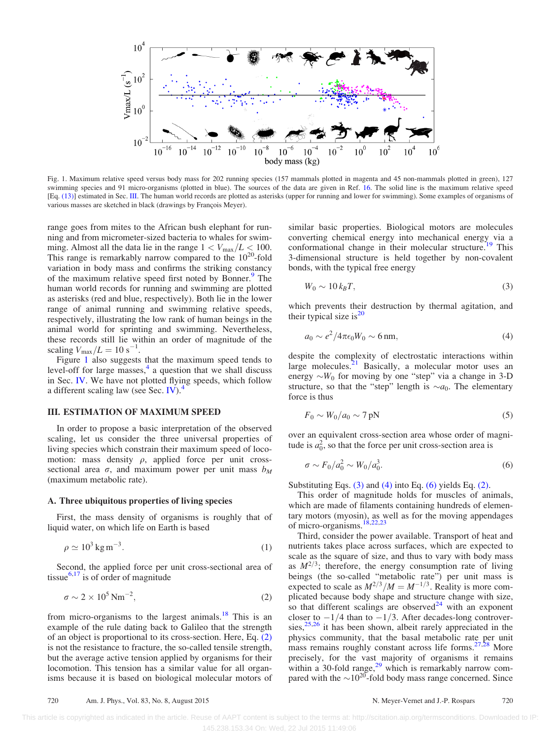<span id="page-1-0"></span>

Fig. 1. Maximum relative speed versus body mass for 202 running species (157 mammals plotted in magenta and 45 non-mammals plotted in green), 127 swimming species and 91 micro-organisms (plotted in blue). The sources of the data are given in Ref. [16.](#page-3-0) The solid line is the maximum relative speed [Eq. [\(13\)\]](#page-2-0) estimated in Sec. III. The human world records are plotted as asterisks (upper for running and lower for swimming). Some examples of organisms of various masses are sketched in black (drawings by François Meyer).

range goes from mites to the African bush elephant for running and from micrometer-sized bacteria to whales for swimming. Almost all the data lie in the range  $1 < V_{\text{max}}/L < 100$ . This range is remarkably narrow compared to the  $10^{20}$ -fold variation in body mass and confirms the striking constancy of the maximum relative speed first noted by Bonner.<sup>9</sup> The human world records for running and swimming are plotted as asterisks (red and blue, respectively). Both lie in the lower range of animal running and swimming relative speeds, respectively, illustrating the low rank of human beings in the animal world for sprinting and swimming. Nevertheless, these records still lie within an order of magnitude of the scaling  $V_{\text{max}}/L = 10 \text{ s}^{-1}$ .

Figure 1 also suggests that the maximum speed tends to level-off for large masses,<sup>[4](#page-3-0)</sup> a question that we shall discuss in Sec. [IV.](#page-2-0) We have not plotted flying speeds, which follow a different scaling law (see Sec. [IV\)](#page-2-0).[4](#page-3-0)

## III. ESTIMATION OF MAXIMUM SPEED

In order to propose a basic interpretation of the observed scaling, let us consider the three universal properties of living species which constrain their maximum speed of locomotion: mass density  $\rho$ , applied force per unit crosssectional area  $\sigma$ , and maximum power per unit mass  $b_M$ (maximum metabolic rate).

#### A. Three ubiquitous properties of living species

First, the mass density of organisms is roughly that of liquid water, on which life on Earth is based

$$
\rho \simeq 10^3 \,\mathrm{kg\,m^{-3}}.\tag{1}
$$

Second, the applied force per unit cross-sectional area of tissue $6,17$  is of order of magnitude

$$
\sigma \sim 2 \times 10^5 \,\mathrm{Nm}^{-2},\tag{2}
$$

from micro-organisms to the largest animals.<sup>[18](#page-3-0)</sup> This is an example of the rule dating back to Galileo that the strength of an object is proportional to its cross-section. Here, Eq. (2) is not the resistance to fracture, the so-called tensile strength, but the average active tension applied by organisms for their locomotion. This tension has a similar value for all organisms because it is based on biological molecular motors of similar basic properties. Biological motors are molecules converting chemical energy into mechanical energy via a conformational change in their molecular structure.<sup>[19](#page-3-0)</sup> This 3-dimensional structure is held together by non-covalent bonds, with the typical free energy

$$
W_0 \sim 10 \, k_B T,\tag{3}
$$

which prevents their destruction by thermal agitation, and their typical size is<sup>[20](#page-3-0)</sup>

$$
a_0 \sim e^2 / 4\pi \epsilon_0 W_0 \sim 6 \,\text{nm},\tag{4}
$$

despite the complexity of electrostatic interactions within large molecules. $21$  Basically, a molecular motor uses an energy  $\sim W_0$  for moving by one "step" via a change in 3-D structure, so that the "step" length is  $\sim a_0$ . The elementary force is thus

$$
F_0 \sim W_0/a_0 \sim 7 \,\text{pN} \tag{5}
$$

over an equivalent cross-section area whose order of magnitude is  $a_0^2$ , so that the force per unit cross-section area is

$$
\sigma \sim F_0/a_0^2 \sim W_0/a_0^3. \tag{6}
$$

Substituting Eqs.  $(3)$  and  $(4)$  into Eq.  $(6)$  yields Eq.  $(2)$ .

This order of magnitude holds for muscles of animals, which are made of filaments containing hundreds of elementary motors (myosin), as well as for the moving appendages of micro-organisms[.18,22,23](#page-3-0)

Third, consider the power available. Transport of heat and nutrients takes place across surfaces, which are expected to scale as the square of size, and thus to vary with body mass as  $M^{2/3}$ ; therefore, the energy consumption rate of living beings (the so-called "metabolic rate") per unit mass is expected to scale as  $M^{2/3}/M = M^{-1/3}$ . Reality is more complicated because body shape and structure change with size, so that different scalings are observed $^{24}$  $^{24}$  $^{24}$  with an exponent closer to  $-1/4$  than to  $-1/3$ . After decades-long controversies, $25,26$  $25,26$  $25,26$  it has been shown, albeit rarely appreciated in the physics community, that the basal metabolic rate per unit mass remains roughly constant across life forms.<sup>[27,28](#page-3-0)</sup> More precisely, for the vast majority of organisms it remains within a 30-fold range, $29$  which is remarkably narrow compared with the  $\sim 10^{20}$ -fold body mass range concerned. Since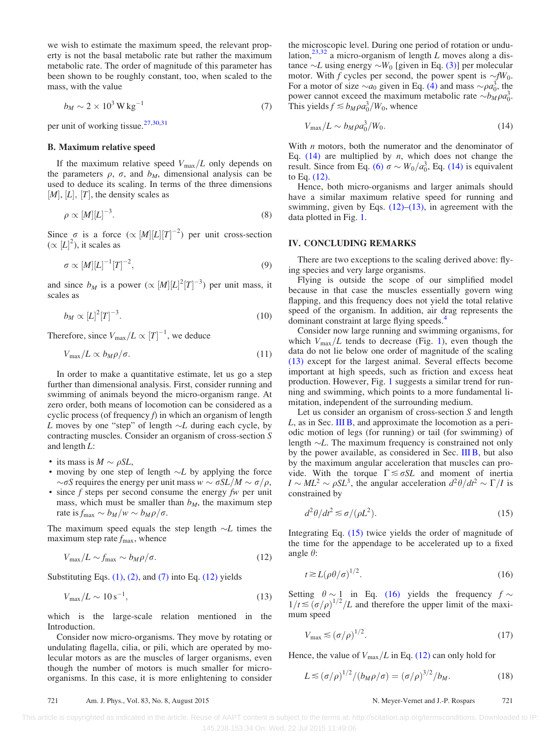<span id="page-2-0"></span>we wish to estimate the maximum speed, the relevant property is not the basal metabolic rate but rather the maximum metabolic rate. The order of magnitude of this parameter has been shown to be roughly constant, too, when scaled to the mass, with the value

$$
b_M \sim 2 \times 10^3 \,\mathrm{W}\,\mathrm{kg}^{-1} \tag{7}
$$

per unit of working tissue.[27](#page-3-0),[30,31](#page-3-0)

#### B. Maximum relative speed

If the maximum relative speed  $V_{\text{max}}/L$  only depends on the parameters  $\rho$ ,  $\sigma$ , and  $b_M$ , dimensional analysis can be used to deduce its scaling. In terms of the three dimensions  $[M], [L], [T]$ , the density scales as

$$
\rho \propto [M][L]^{-3}.\tag{8}
$$

Since  $\sigma$  is a force  $(\propto [M][L][T]^{-2})$  per unit cross-section  $(\propto [L]^2)$ , it scales as

$$
\sigma \propto [M][L]^{-1}[T]^{-2},\tag{9}
$$

and since  $b_M$  is a power ( $\propto [M][L]^2[T]^{-3}$ ) per unit mass, it scales as

$$
b_M \propto [L]^2 [T]^{-3}.\tag{10}
$$

Therefore, since  $V_{\text{max}}/L \propto [T]^{-1}$ , we deduce

$$
V_{\text{max}}/L \propto b_M \rho / \sigma. \tag{11}
$$

In order to make a quantitative estimate, let us go a step further than dimensional analysis. First, consider running and swimming of animals beyond the micro-organism range. At zero order, both means of locomotion can be considered as a cyclic process (of frequency  $f$ ) in which an organism of length L moves by one "step" of length  $\sim L$  during each cycle, by contracting muscles. Consider an organism of cross-section S and length L:

- its mass is  $M \sim \rho SL$ ,
- moving by one step of length  $\sim L$  by applying the force  $\sim \sigma S$  requires the energy per unit mass  $w \sim \sigma S L/M \sim \sigma/\rho$ ,
- since  $f$  steps per second consume the energy  $fw$  per unit mass, which must be smaller than  $b_M$ , the maximum step rate is  $f_{\text{max}} \sim b_M/w \sim b_M \rho / \sigma$ .

The maximum speed equals the step length  $\sim L$  times the maximum step rate  $f_{\text{max}}$ , whence

$$
V_{\text{max}}/L \sim f_{\text{max}} \sim b_M \rho / \sigma. \tag{12}
$$

Substituting Eqs.  $(1)$ ,  $(2)$ , and  $(7)$  into Eq.  $(12)$  yields

$$
V_{\text{max}}/L \sim 10 \,\text{s}^{-1},\tag{13}
$$

which is the large-scale relation mentioned in the Introduction.

Consider now micro-organisms. They move by rotating or undulating flagella, cilia, or pili, which are operated by molecular motors as are the muscles of larger organisms, even though the number of motors is much smaller for microorganisms. In this case, it is more enlightening to consider

the microscopic level. During one period of rotation or undulation,  $^{23,32}$  $^{23,32}$  $^{23,32}$  a micro-organism of length L moves along a distance  $\sim L$  using energy  $\sim W_0$  [given in Eq. [\(3\)](#page-1-0)] per molecular motor. With f cycles per second, the power spent is  $\sim fW_0$ . For a motor of size  $\sim a_0$  given in Eq. [\(4\)](#page-1-0) and mass  $\sim \rho a_0^3$ , the power cannot exceed the maximum metabolic rate  $\sim b_M \rho a_0^3$ . This yields  $f \le b_M \rho a_0^3/W_0$ , whence

$$
V_{\text{max}}/L \sim b_M \rho a_0^3 / W_0. \tag{14}
$$

With  $n$  motors, both the numerator and the denominator of Eq.  $(14)$  are multiplied by *n*, which does not change the result. Since from Eq. [\(6\)](#page-1-0)  $\sigma \sim W_0/a_0^3$ , Eq. (14) is equivalent to Eq. (12).

Hence, both micro-organisms and larger animals should have a similar maximum relative speed for running and swimming, given by Eqs.  $(12)$ – $(13)$ , in agreement with the data plotted in Fig. [1](#page-1-0).

#### IV. CONCLUDING REMARKS

There are two exceptions to the scaling derived above: flying species and very large organisms.

Flying is outside the scope of our simplified model because in that case the muscles essentially govern wing flapping, and this frequency does not yield the total relative speed of the organism. In addition, air drag represents the dominant constraint at large flying speeds.<sup>[4](#page-3-0)</sup>

Consider now large running and swimming organisms, for which  $V_{\text{max}}/L$  tends to decrease (Fig. [1\)](#page-1-0), even though the data do not lie below one order of magnitude of the scaling (13) except for the largest animal. Several effects become important at high speeds, such as friction and excess heat production. However, Fig. [1](#page-1-0) suggests a similar trend for running and swimming, which points to a more fundamental limitation, independent of the surrounding medium.

Let us consider an organism of cross-section S and length  $L$ , as in Sec. III B, and approximate the locomotion as a periodic motion of legs (for running) or tail (for swimming) of length  $\sim L$ . The maximum frequency is constrained not only by the power available, as considered in Sec. III B, but also by the maximum angular acceleration that muscles can provide. With the torque  $\Gamma \lesssim \sigma SL$  and moment of inertia  $I \sim ML^2 \sim \rho SL^3$ , the angular acceleration  $d^2\theta/dt^2 \sim \Gamma/I$  is constrained by

$$
d^2\theta/dt^2 \lesssim \sigma/(\rho L^2). \tag{15}
$$

Integrating Eq. (15) twice yields the order of magnitude of the time for the appendage to be accelerated up to a fixed angle  $\theta$ :

$$
t \gtrsim L(\rho \theta/\sigma)^{1/2}.\tag{16}
$$

Setting  $\theta \sim 1$  in Eq. (16) yields the frequency  $f \sim$  $1/t \leq (\sigma/\rho)^{1/2}/L$  and therefore the upper limit of the maximum speed

$$
V_{\text{max}} \le (\sigma/\rho)^{1/2}.\tag{17}
$$

Hence, the value of  $V_{\text{max}}/L$  in Eq. (12) can only hold for

$$
L \leq (\sigma/\rho)^{1/2} / (b_M \rho/\sigma) = (\sigma/\rho)^{3/2} / b_M.
$$
 (18)